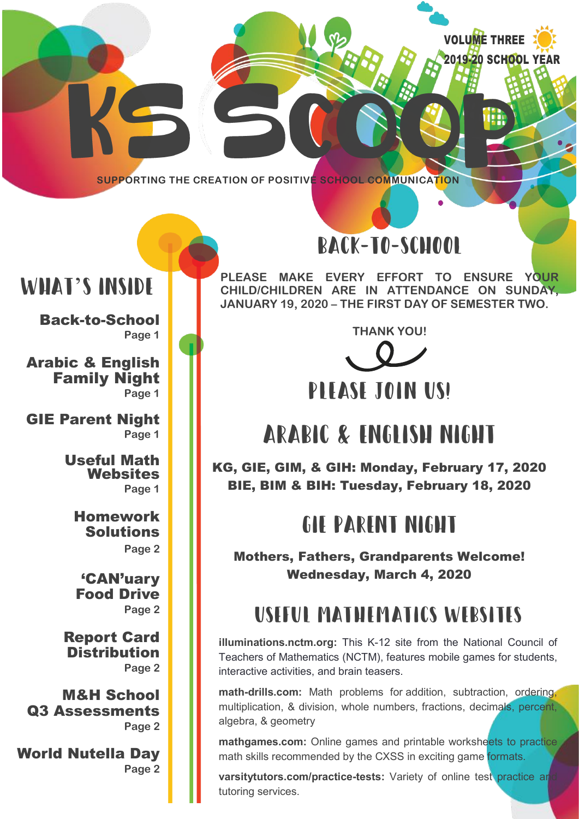VOLUME THREE 2019-20 SCHOOL YEAR

**SUPPORTING THE CREATION OF POSITIVE SCHOOL COMMUNICATION**

## WHAT'S INSIDE

Back-to-School **Page 1**

Arabic & English Family Night **Page 1**

GIE Parent Night **Page 1**

> Useful Math **Websites Page 1**

Homework Solutions **Page 2**

'CAN'uary Food Drive **Page 2**

Report Card **Distribution Page 2**

M&H School Q3 Assessments **Page 2**

World Nutella Day **Page 2**

# BACK-TO-SCHOOL

**PLEASE MAKE EVERY EFFORT TO ENSURE YOUR CHILD/CHILDREN ARE IN ATTENDANCE ON SUNDAY, JANUARY 19, 2020 – THE FIRST DAY OF SEMESTER TWO.** 

**THANK YOU!**



### PITASE JOIN US!

# ARABIC & ENGLISH NIGHT

KG, GIE, GIM, & GIH: Monday, February 17, 2020 BIE, BIM & BIH: Tuesday, February 18, 2020

## GIE PARENT NIGHT

Mothers, Fathers, Grandparents Welcome! Wednesday, March 4, 2020

# Useful Mathematics Websites

**illuminations.nctm.org:** This K-12 site from the National Council of Teachers of Mathematics (NCTM), features mobile games for students, interactive activities, and brain teasers.

**math-drills.com:** Math problems for addition, subtraction, ordering, multiplication, & division, whole numbers, fractions, decimals, percent, algebra, & geometry

**mathgames.com:** Online games and printable worksheets to practice math skills recommended by the CXSS in exciting game formats.

**varsitytutors.com/practice-tests:** Variety of online test practice and tutoring services.